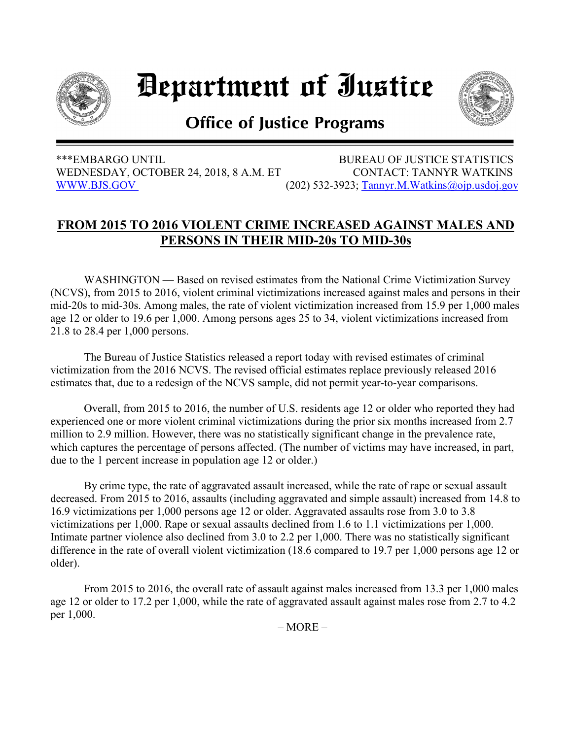

## Department of Iustice



## **Office of Justice Programs**

 \*\*\*EMBARGO UNTIL BUREAU OF JUSTICE STATISTICS WEDNESDAY, OCTOBER 24, 2018, 8 A.M. ET CONTACT: TANNYR WATKINS [WWW.BJS.GOV](https://www.bjs.gov/) (202) 532-3923; [Tannyr.M.Watkins@ojp.usdoj.gov](mailto:Tannyr.M.Watkins@ojp.usdoj.gov)

## **FROM 2015 TO 2016 VIOLENT CRIME INCREASED AGAINST MALES AND PERSONS IN THEIR MID-20s TO MID-30s**

WASHINGTON — Based on revised estimates from the National Crime Victimization Survey (NCVS), from 2015 to 2016, violent criminal victimizations increased against males and persons in their mid-20s to mid-30s. Among males, the rate of violent victimization increased from 15.9 per 1,000 males age 12 or older to 19.6 per 1,000. Among persons ages 25 to 34, violent victimizations increased from 21.8 to 28.4 per 1,000 persons.

The Bureau of Justice Statistics released a report today with revised estimates of criminal victimization from the 2016 NCVS. The revised official estimates replace previously released 2016 estimates that, due to a redesign of the NCVS sample, did not permit year-to-year comparisons.

Overall, from 2015 to 2016, the number of U.S. residents age 12 or older who reported they had experienced one or more violent criminal victimizations during the prior six months increased from 2.7 million to 2.9 million. However, there was no statistically significant change in the prevalence rate, which captures the percentage of persons affected. (The number of victims may have increased, in part, due to the 1 percent increase in population age 12 or older.)

By crime type, the rate of aggravated assault increased, while the rate of rape or sexual assault decreased. From 2015 to 2016, assaults (including aggravated and simple assault) increased from 14.8 to 16.9 victimizations per 1,000 persons age 12 or older. Aggravated assaults rose from 3.0 to 3.8 victimizations per 1,000. Rape or sexual assaults declined from 1.6 to 1.1 victimizations per 1,000. Intimate partner violence also declined from 3.0 to 2.2 per 1,000. There was no statistically significant difference in the rate of overall violent victimization (18.6 compared to 19.7 per 1,000 persons age 12 or older).

From 2015 to 2016, the overall rate of assault against males increased from 13.3 per 1,000 males age 12 or older to 17.2 per 1,000, while the rate of aggravated assault against males rose from 2.7 to 4.2 per 1,000.

 $-MORE-$